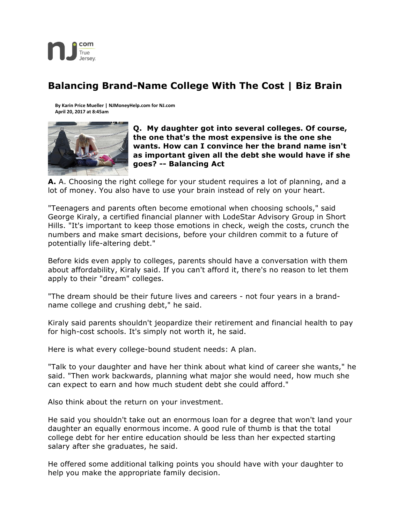

## **Balancing Brand-Name College With The Cost | Biz Brain**

**By Karin Price Mueller | NJMoneyHelp.com for NJ.com April 20, 2017 at 8:45am**



**Q. My daughter got into several colleges. Of course, the one that's the most expensive is the one she wants. How can I convince her the brand name isn't as important given all the debt she would have if she goes? -- Balancing Act**

**A.** A. Choosing the right college for your student requires a lot of planning, and a lot of money. You also have to use your brain instead of rely on your heart.

"Teenagers and parents often become emotional when choosing schools," said George Kiraly, a certified financial planner with LodeStar Advisory Group in Short Hills. "It's important to keep those emotions in check, weigh the costs, crunch the numbers and make smart decisions, before your children commit to a future of potentially life-altering debt."

Before kids even apply to colleges, parents should have a conversation with them about affordability, Kiraly said. If you can't afford it, there's no reason to let them apply to their "dream" colleges.

"The dream should be their future lives and careers - not four years in a brandname college and crushing debt," he said.

Kiraly said parents shouldn't jeopardize their retirement and financial health to pay for high-cost schools. It's simply not worth it, he said.

Here is what every college-bound student needs: A plan.

"Talk to your daughter and have her think about what kind of career she wants," he said. "Then work backwards, planning what major she would need, how much she can expect to earn and how much student debt she could afford."

Also think about the return on your investment.

He said you shouldn't take out an enormous loan for a degree that won't land your daughter an equally enormous income. A good rule of thumb is that the total college debt for her entire education should be less than her expected starting salary after she graduates, he said.

He offered some additional talking points you should have with your daughter to help you make the appropriate family decision.